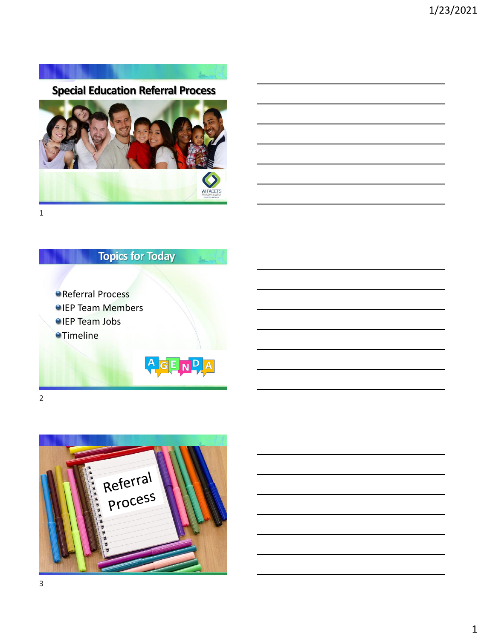



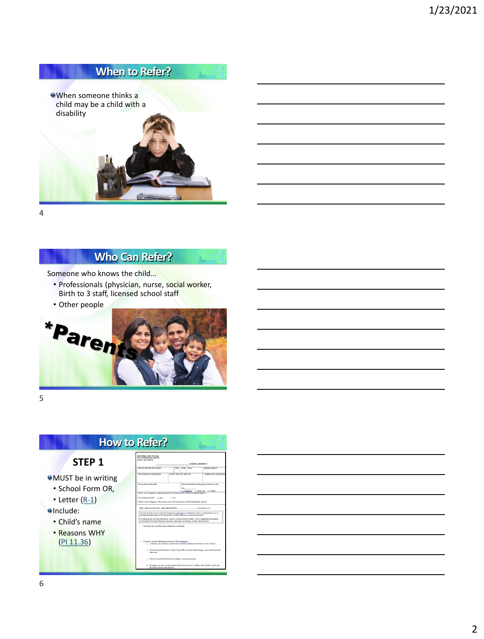

#### **Who Can Refer?**

Someone who knows the child…

- Professionals (physician, nurse, social worker, Birth to 3 staff, licensed school staff
- Other people



5

# **How to Refer?**

#### **STEP 1**

**OMUST** be in writing

- School Form OR,
- Letter ([R-1](https://dpi.wi.gov/sped/laws-procedures-bulletins/procedures/sample/forms))

**O**Include:

- Child's name
- Reasons WHY [\(PI 11.36](https://docs.legis.wisconsin.gov/code/admin_code/pi/11/36))



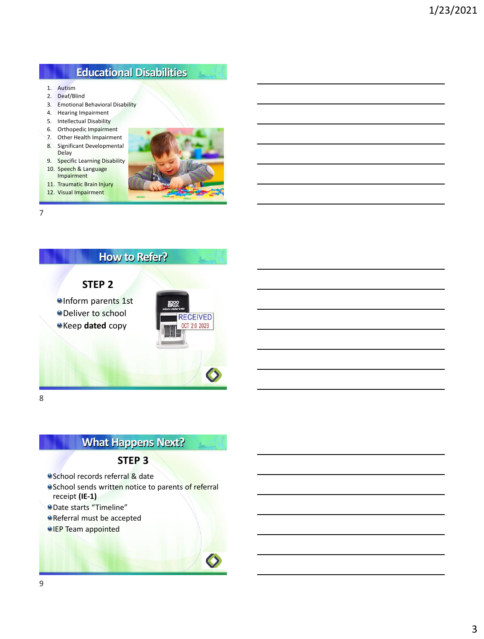## **Educational Disabilities**

- 1. Autism
- 2. Deaf/Blind
- 3. Emotional Behavioral Disability
- 4. Hearing Impairment
- 5. Intellectual Disability
- 6. Orthopedic Impairment 7. Other Health Impairment
- 8. Significant Developmental Delay
- 9. Specific Learning Disability
- 10. Speech & Language Impairment
- 11. Traumatic Brain Injury
- 12. Visual Impairment



 $\mathbf{z}$ 

7



8

# **What Happens Next?**

#### **STEP 3**

**School records referral & date** 

- <sup>o</sup> School sends written notice to parents of referral receipt **(IE-1)**
- Date starts "Timeline"
- Referral must be accepted
- **OIEP** Team appointed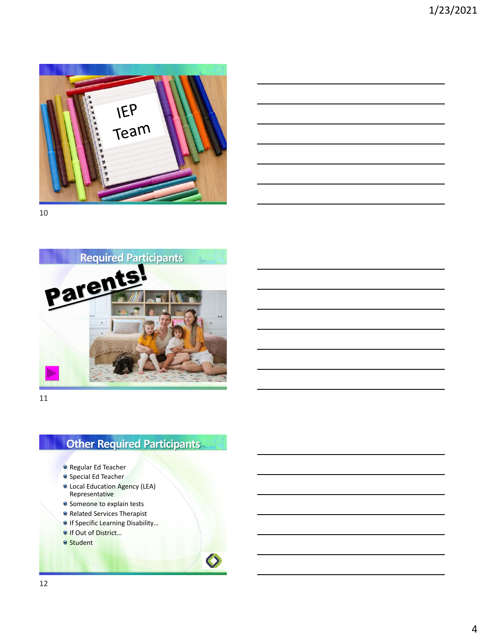





11

## **Other Required Participants**

- Regular Ed Teacher
- **•** Special Ed Teacher
- Local Education Agency (LEA) Representative
- Someone to explain tests
- **Related Services Therapist**
- **If Specific Learning Disability...**
- If Out of District...
- **Student**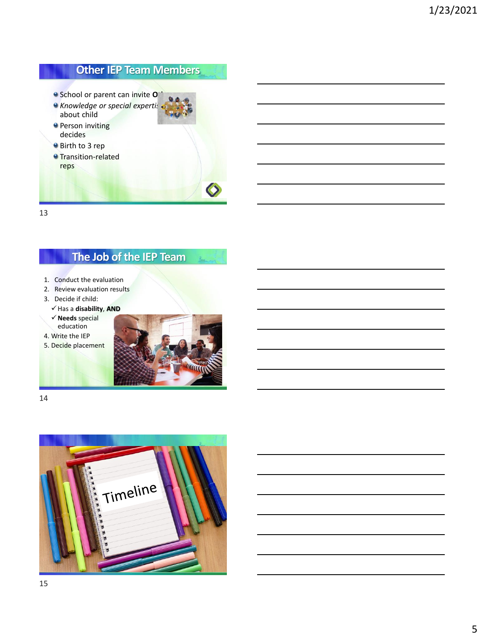# **Other IEP Team Members**

- <sup>o</sup> School or parent can invite **O**<sup>t</sup>
- **e** Knowledge or special expertis about child
- **Person inviting** decides
- Birth to 3 rep
- **O** Transition-related reps



13

## **The Job of the IEP Team**

- 1. Conduct the evaluation
- 2. Review evaluation results
- 3. Decide if child:
	- ✓Has a **disability**, **AND**
	- ✓**Needs** special education
- 4. Write the IEP
- 5. Decide placement



14